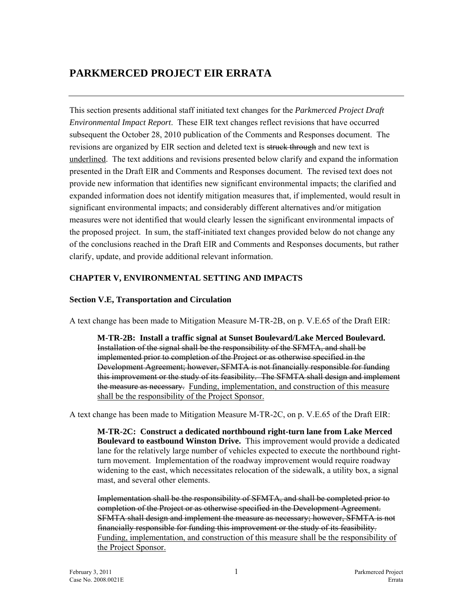# **PARKMERCED PROJECT EIR ERRATA**

This section presents additional staff initiated text changes for the *Parkmerced Project Draft Environmental Impact Report*. These EIR text changes reflect revisions that have occurred subsequent the October 28, 2010 publication of the Comments and Responses document. The revisions are organized by EIR section and deleted text is struck through and new text is underlined. The text additions and revisions presented below clarify and expand the information presented in the Draft EIR and Comments and Responses document. The revised text does not provide new information that identifies new significant environmental impacts; the clarified and expanded information does not identify mitigation measures that, if implemented, would result in significant environmental impacts; and considerably different alternatives and/or mitigation measures were not identified that would clearly lessen the significant environmental impacts of the proposed project. In sum, the staff-initiated text changes provided below do not change any of the conclusions reached in the Draft EIR and Comments and Responses documents, but rather clarify, update, and provide additional relevant information.

## **CHAPTER V, ENVIRONMENTAL SETTING AND IMPACTS**

## **Section V.E, Transportation and Circulation**

A text change has been made to Mitigation Measure M-TR-2B, on p. V.E.65 of the Draft EIR:

**M-TR-2B: Install a traffic signal at Sunset Boulevard/Lake Merced Boulevard.**  Installation of the signal shall be the responsibility of the SFMTA, and shall be implemented prior to completion of the Project or as otherwise specified in the Development Agreement; however, SFMTA is not financially responsible for funding this improvement or the study of its feasibility. The SFMTA shall design and implement the measure as necessary. Funding, implementation, and construction of this measure shall be the responsibility of the Project Sponsor.

A text change has been made to Mitigation Measure M-TR-2C, on p. V.E.65 of the Draft EIR:

**M-TR-2C: Construct a dedicated northbound right-turn lane from Lake Merced Boulevard to eastbound Winston Drive.** This improvement would provide a dedicated lane for the relatively large number of vehicles expected to execute the northbound rightturn movement. Implementation of the roadway improvement would require roadway widening to the east, which necessitates relocation of the sidewalk, a utility box, a signal mast, and several other elements.

Implementation shall be the responsibility of SFMTA, and shall be completed prior to completion of the Project or as otherwise specified in the Development Agreement. SFMTA shall design and implement the measure as necessary; however, SFMTA is not financially responsible for funding this improvement or the study of its feasibility. Funding, implementation, and construction of this measure shall be the responsibility of the Project Sponsor.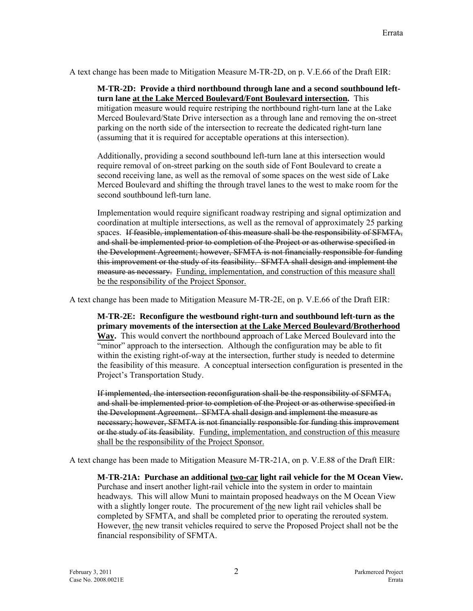A text change has been made to Mitigation Measure M-TR-2D, on p. V.E.66 of the Draft EIR:

**M-TR-2D: Provide a third northbound through lane and a second southbound leftturn lane at the Lake Merced Boulevard/Font Boulevard intersection.** This mitigation measure would require restriping the northbound right-turn lane at the Lake Merced Boulevard/State Drive intersection as a through lane and removing the on-street parking on the north side of the intersection to recreate the dedicated right-turn lane (assuming that it is required for acceptable operations at this intersection).

Additionally, providing a second southbound left-turn lane at this intersection would require removal of on-street parking on the south side of Font Boulevard to create a second receiving lane, as well as the removal of some spaces on the west side of Lake Merced Boulevard and shifting the through travel lanes to the west to make room for the second southbound left-turn lane.

Implementation would require significant roadway restriping and signal optimization and coordination at multiple intersections, as well as the removal of approximately 25 parking spaces. If feasible, implementation of this measure shall be the responsibility of SFMTA, and shall be implemented prior to completion of the Project or as otherwise specified in the Development Agreement; however, SFMTA is not financially responsible for funding this improvement or the study of its feasibility. SFMTA shall design and implement the measure as necessary. Funding, implementation, and construction of this measure shall be the responsibility of the Project Sponsor.

A text change has been made to Mitigation Measure M-TR-2E, on p. V.E.66 of the Draft EIR:

**M-TR-2E: Reconfigure the westbound right-turn and southbound left-turn as the primary movements of the intersection at the Lake Merced Boulevard/Brotherhood Way.** This would convert the northbound approach of Lake Merced Boulevard into the "minor" approach to the intersection. Although the configuration may be able to fit within the existing right-of-way at the intersection, further study is needed to determine the feasibility of this measure. A conceptual intersection configuration is presented in the Project's Transportation Study.

If implemented, the intersection reconfiguration shall be the responsibility of SFMTA, and shall be implemented prior to completion of the Project or as otherwise specified in the Development Agreement. SFMTA shall design and implement the measure as necessary; however, SFMTA is not financially responsible for funding this improvement or the study of its feasibility. Funding, implementation, and construction of this measure shall be the responsibility of the Project Sponsor.

A text change has been made to Mitigation Measure M-TR-21A, on p. V.E.88 of the Draft EIR:

**M-TR-21A: Purchase an additional two-car light rail vehicle for the M Ocean View.** Purchase and insert another light-rail vehicle into the system in order to maintain headways. This will allow Muni to maintain proposed headways on the M Ocean View with a slightly longer route. The procurement of the new light rail vehicles shall be completed by SFMTA, and shall be completed prior to operating the rerouted system. However, the new transit vehicles required to serve the Proposed Project shall not be the financial responsibility of SFMTA.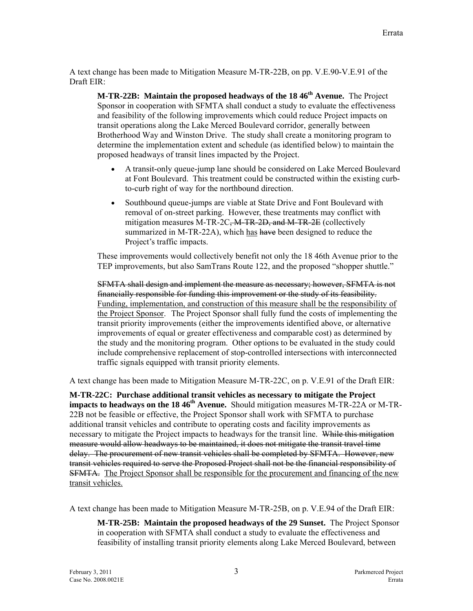A text change has been made to Mitigation Measure M-TR-22B, on pp. V.E.90-V.E.91 of the Draft EIR:

**M-TR-22B: Maintain the proposed headways of the 18 46th Avenue.** The Project Sponsor in cooperation with SFMTA shall conduct a study to evaluate the effectiveness and feasibility of the following improvements which could reduce Project impacts on transit operations along the Lake Merced Boulevard corridor, generally between Brotherhood Way and Winston Drive. The study shall create a monitoring program to determine the implementation extent and schedule (as identified below) to maintain the proposed headways of transit lines impacted by the Project.

- A transit-only queue-jump lane should be considered on Lake Merced Boulevard at Font Boulevard. This treatment could be constructed within the existing curbto-curb right of way for the northbound direction.
- Southbound queue-jumps are viable at State Drive and Font Boulevard with removal of on-street parking. However, these treatments may conflict with mitigation measures M-TR-2C<del>, M-TR-2D, and M-TR-2E</del> (collectively summarized in M-TR-22A), which has have been designed to reduce the Project's traffic impacts.

These improvements would collectively benefit not only the 18 46th Avenue prior to the TEP improvements, but also SamTrans Route 122, and the proposed "shopper shuttle."

SFMTA shall design and implement the measure as necessary; however, SFMTA is not financially responsible for funding this improvement or the study of its feasibility. Funding, implementation, and construction of this measure shall be the responsibility of the Project Sponsor. The Project Sponsor shall fully fund the costs of implementing the transit priority improvements (either the improvements identified above, or alternative improvements of equal or greater effectiveness and comparable cost) as determined by the study and the monitoring program. Other options to be evaluated in the study could include comprehensive replacement of stop-controlled intersections with interconnected traffic signals equipped with transit priority elements.

A text change has been made to Mitigation Measure M-TR-22C, on p. V.E.91 of the Draft EIR:

**M-TR-22C: Purchase additional transit vehicles as necessary to mitigate the Project impacts to headways on the 18 46<sup>th</sup> Avenue.** Should mitigation measures M-TR-22A or M-TR-22B not be feasible or effective, the Project Sponsor shall work with SFMTA to purchase additional transit vehicles and contribute to operating costs and facility improvements as necessary to mitigate the Project impacts to headways for the transit line. While this mitigation measure would allow headways to be maintained, it does not mitigate the transit travel time delay. The procurement of new transit vehicles shall be completed by SFMTA. However, new transit vehicles required to serve the Proposed Project shall not be the financial responsibility of SFMTA. The Project Sponsor shall be responsible for the procurement and financing of the new transit vehicles.

A text change has been made to Mitigation Measure M-TR-25B, on p. V.E.94 of the Draft EIR:

**M-TR-25B: Maintain the proposed headways of the 29 Sunset.** The Project Sponsor in cooperation with SFMTA shall conduct a study to evaluate the effectiveness and feasibility of installing transit priority elements along Lake Merced Boulevard, between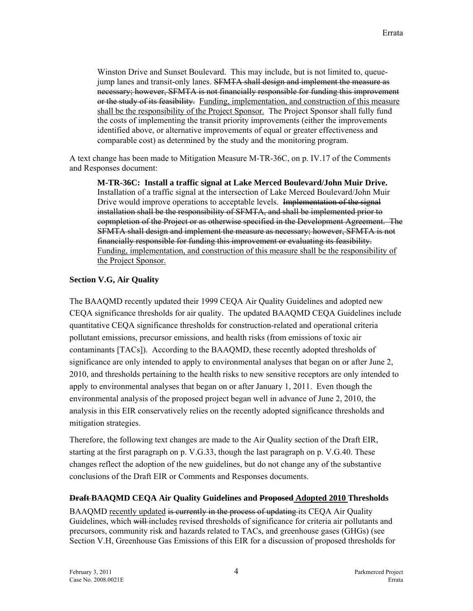Winston Drive and Sunset Boulevard. This may include, but is not limited to, queuejump lanes and transit-only lanes. SFMTA shall design and implement the measure as necessary; however, SFMTA is not financially responsible for funding this improvement or the study of its feasibility. Funding, implementation, and construction of this measure shall be the responsibility of the Project Sponsor. The Project Sponsor shall fully fund the costs of implementing the transit priority improvements (either the improvements identified above, or alternative improvements of equal or greater effectiveness and comparable cost) as determined by the study and the monitoring program.

A text change has been made to Mitigation Measure M-TR-36C, on p. IV.17 of the Comments and Responses document:

**M-TR-36C: Install a traffic signal at Lake Merced Boulevard/John Muir Drive.** Installation of a traffic signal at the intersection of Lake Merced Boulevard/John Muir Drive would improve operations to acceptable levels. Implementation of the signal installation shall be the responsibility of SFMTA, and shall be implemented prior to copmpletion of the Project or as otherwise specified in the Development Agreement. The SFMTA shall design and implement the measure as necessary; however, SFMTA is not financially responsible for funding this improvement or evaluating its feasibility. Funding, implementation, and construction of this measure shall be the responsibility of the Project Sponsor.

#### **Section V.G, Air Quality**

The BAAQMD recently updated their 1999 CEQA Air Quality Guidelines and adopted new CEQA significance thresholds for air quality. The updated BAAQMD CEQA Guidelines include quantitative CEQA significance thresholds for construction-related and operational criteria pollutant emissions, precursor emissions, and health risks (from emissions of toxic air contaminants [TACs]). According to the BAAQMD, these recently adopted thresholds of significance are only intended to apply to environmental analyses that began on or after June 2, 2010, and thresholds pertaining to the health risks to new sensitive receptors are only intended to apply to environmental analyses that began on or after January 1, 2011. Even though the environmental analysis of the proposed project began well in advance of June 2, 2010, the analysis in this EIR conservatively relies on the recently adopted significance thresholds and mitigation strategies.

Therefore, the following text changes are made to the Air Quality section of the Draft EIR, starting at the first paragraph on p. V.G.33, though the last paragraph on p. V.G.40. These changes reflect the adoption of the new guidelines, but do not change any of the substantive conclusions of the Draft EIR or Comments and Responses documents.

#### **Draft BAAQMD CEQA Air Quality Guidelines and Proposed Adopted 2010 Thresholds**

BAAQMD recently updated is currently in the process of updating its CEQA Air Quality Guidelines, which will includes revised thresholds of significance for criteria air pollutants and precursors, community risk and hazards related to TACs, and greenhouse gases (GHGs) (see Section V.H, Greenhouse Gas Emissions of this EIR for a discussion of proposed thresholds for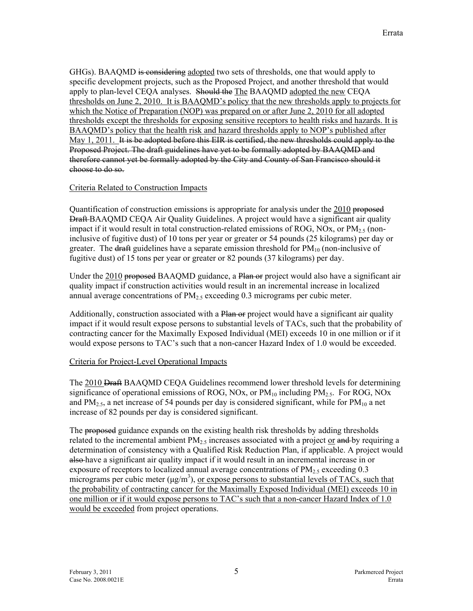GHGs). BAAQMD is considering adopted two sets of thresholds, one that would apply to specific development projects, such as the Proposed Project, and another threshold that would apply to plan-level CEQA analyses. Should the The BAAQMD adopted the new CEQA thresholds on June 2, 2010. It is BAAQMD's policy that the new thresholds apply to projects for which the Notice of Preparation (NOP) was prepared on or after June 2, 2010 for all adopted thresholds except the thresholds for exposing sensitive receptors to health risks and hazards. It is BAAQMD's policy that the health risk and hazard thresholds apply to NOP's published after May 1, 2011. It is be adopted before this EIR is certified, the new thresholds could apply to the Proposed Project. The draft guidelines have yet to be formally adopted by BAAQMD and therefore cannot yet be formally adopted by the City and County of San Francisco should it choose to do so.

#### Criteria Related to Construction Impacts

Quantification of construction emissions is appropriate for analysis under the 2010 proposed **Draft BAAQMD CEQA Air Quality Guidelines. A project would have a significant air quality** impact if it would result in total construction-related emissions of ROG, NOx, or  $PM_{2.5}$  (noninclusive of fugitive dust) of 10 tons per year or greater or 54 pounds (25 kilograms) per day or greater. The draft guidelines have a separate emission threshold for  $PM_{10}$  (non-inclusive of fugitive dust) of 15 tons per year or greater or 82 pounds (37 kilograms) per day.

Under the 2010 proposed BAAQMD guidance, a Plan or project would also have a significant air quality impact if construction activities would result in an incremental increase in localized annual average concentrations of  $PM<sub>2.5</sub>$  exceeding 0.3 micrograms per cubic meter.

Additionally, construction associated with a Plan or project would have a significant air quality impact if it would result expose persons to substantial levels of TACs, such that the probability of contracting cancer for the Maximally Exposed Individual (MEI) exceeds 10 in one million or if it would expose persons to TAC's such that a non-cancer Hazard Index of 1.0 would be exceeded.

## Criteria for Project-Level Operational Impacts

The 2010 <del>Draft</del> BAAOMD CEOA Guidelines recommend lower threshold levels for determining significance of operational emissions of ROG, NOx, or  $PM_{10}$  including  $PM_{2.5}$ . For ROG, NOx and  $PM_{2.5}$ , a net increase of 54 pounds per day is considered significant, while for  $PM_{10}$  a net increase of 82 pounds per day is considered significant.

The proposed guidance expands on the existing health risk thresholds by adding thresholds related to the incremental ambient  $PM_{2.5}$  increases associated with a project or and by requiring a determination of consistency with a Qualified Risk Reduction Plan, if applicable. A project would also have a significant air quality impact if it would result in an incremental increase in or exposure of receptors to localized annual average concentrations of  $PM_{2.5}$  exceeding 0.3 micrograms per cubic meter  $(\mu g/m^3)$ , or expose persons to substantial levels of TACs, such that the probability of contracting cancer for the Maximally Exposed Individual (MEI) exceeds 10 in one million or if it would expose persons to TAC's such that a non-cancer Hazard Index of 1.0 would be exceeded from project operations.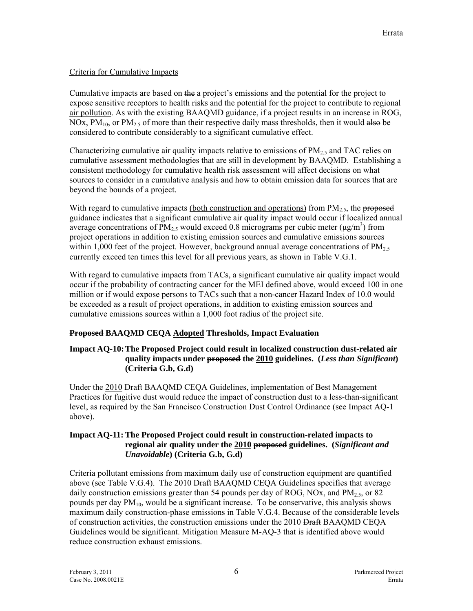## Criteria for Cumulative Impacts

Cumulative impacts are based on the a project's emissions and the potential for the project to expose sensitive receptors to health risks and the potential for the project to contribute to regional air pollution. As with the existing BAAQMD guidance, if a project results in an increase in ROG, NOx,  $PM_{10}$ , or  $PM_{2.5}$  of more than their respective daily mass thresholds, then it would also be considered to contribute considerably to a significant cumulative effect.

Characterizing cumulative air quality impacts relative to emissions of  $PM_{2.5}$  and TAC relies on cumulative assessment methodologies that are still in development by BAAQMD. Establishing a consistent methodology for cumulative health risk assessment will affect decisions on what sources to consider in a cumulative analysis and how to obtain emission data for sources that are beyond the bounds of a project.

With regard to cumulative impacts (both construction and operations) from  $PM_{2.5}$ , the proposed guidance indicates that a significant cumulative air quality impact would occur if localized annual average concentrations of PM<sub>2.5</sub> would exceed 0.8 micrograms per cubic meter ( $\mu$ g/m<sup>3</sup>) from project operations in addition to existing emission sources and cumulative emissions sources within 1,000 feet of the project. However, background annual average concentrations of  $PM_{2.5}$ currently exceed ten times this level for all previous years, as shown in Table V.G.1.

With regard to cumulative impacts from TACs, a significant cumulative air quality impact would occur if the probability of contracting cancer for the MEI defined above, would exceed 100 in one million or if would expose persons to TACs such that a non-cancer Hazard Index of 10.0 would be exceeded as a result of project operations, in addition to existing emission sources and cumulative emissions sources within a 1,000 foot radius of the project site.

## **Proposed BAAQMD CEQA Adopted Thresholds, Impact Evaluation**

#### **Impact AQ-10: The Proposed Project could result in localized construction dust-related air quality impacts under proposed the 2010 guidelines. (***Less than Significant***) (Criteria G.b, G.d)**

Under the 2010 Draft BAAQMD CEQA Guidelines, implementation of Best Management Practices for fugitive dust would reduce the impact of construction dust to a less-than-significant level, as required by the San Francisco Construction Dust Control Ordinance (see Impact AQ-1 above).

#### **Impact AQ-11: The Proposed Project could result in construction-related impacts to regional air quality under the 2010 proposed guidelines. (***Significant and Unavoidable***) (Criteria G.b, G.d)**

Criteria pollutant emissions from maximum daily use of construction equipment are quantified above (see Table V.G.4). The 2010 Draft BAAQMD CEQA Guidelines specifies that average daily construction emissions greater than 54 pounds per day of ROG, NOx, and  $PM_{2.5}$ , or 82 pounds per day  $PM_{10}$ , would be a significant increase. To be conservative, this analysis shows maximum daily construction-phase emissions in Table V.G.4. Because of the considerable levels of construction activities, the construction emissions under the 2010 Draft BAAQMD CEQA Guidelines would be significant. Mitigation Measure M-AQ-3 that is identified above would reduce construction exhaust emissions.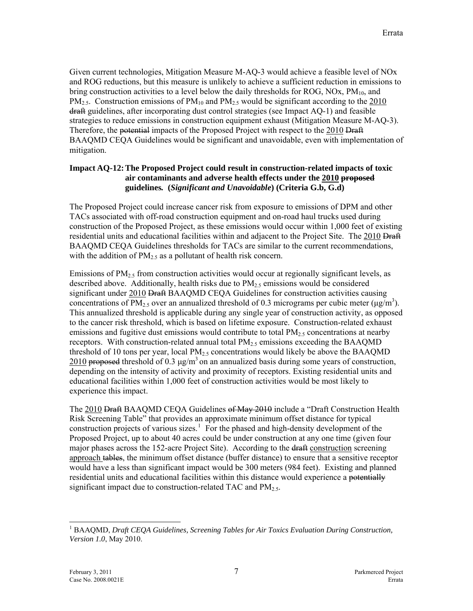Given current technologies, Mitigation Measure M-AQ-3 would achieve a feasible level of NOx and ROG reductions, but this measure is unlikely to achieve a sufficient reduction in emissions to bring construction activities to a level below the daily thresholds for ROG, NOx,  $PM_{10}$ , and  $PM_{2.5}$ . Construction emissions of  $PM_{10}$  and  $PM_{2.5}$  would be significant according to the 2010 draft guidelines, after incorporating dust control strategies (see Impact AQ-1) and feasible strategies to reduce emissions in construction equipment exhaust (Mitigation Measure M-AQ-3). Therefore, the potential impacts of the Proposed Project with respect to the 2010 Draft BAAQMD CEQA Guidelines would be significant and unavoidable, even with implementation of mitigation.

#### **Impact AQ-12: The Proposed Project could result in construction-related impacts of toxic air contaminants and adverse health effects under the 2010 proposed guidelines***.* **(***Significant and Unavoidable***) (Criteria G.b, G.d)**

The Proposed Project could increase cancer risk from exposure to emissions of DPM and other TACs associated with off-road construction equipment and on-road haul trucks used during construction of the Proposed Project, as these emissions would occur within 1,000 feet of existing residential units and educational facilities within and adjacent to the Project Site. The 2010 Draft BAAQMD CEQA Guidelines thresholds for TACs are similar to the current recommendations, with the addition of  $PM_{2.5}$  as a pollutant of health risk concern.

Emissions of  $PM_{2.5}$  from construction activities would occur at regionally significant levels, as described above. Additionally, health risks due to  $PM_{2.5}$  emissions would be considered significant under 2010 Draft BAAQMD CEQA Guidelines for construction activities causing concentrations of PM<sub>2.5</sub> over an annualized threshold of 0.3 micrograms per cubic meter ( $\mu$ g/m<sup>3</sup>). This annualized threshold is applicable during any single year of construction activity, as opposed to the cancer risk threshold, which is based on lifetime exposure. Construction-related exhaust emissions and fugitive dust emissions would contribute to total  $PM_{2.5}$  concentrations at nearby receptors. With construction-related annual total  $PM<sub>2.5</sub>$  emissions exceeding the BAAQMD threshold of 10 tons per year, local  $PM<sub>2.5</sub>$  concentrations would likely be above the BAAQMD 2010 proposed threshold of 0.3  $\mu$ g/m<sup>3</sup> on an annualized basis during some years of construction, depending on the intensity of activity and proximity of receptors. Existing residential units and educational facilities within 1,000 feet of construction activities would be most likely to experience this impact.

The 2010 Draft BAAQMD CEQA Guidelines of May 2010 include a "Draft Construction Health Risk Screening Table" that provides an approximate minimum offset distance for typical construction projects of various sizes.<sup>[1](#page-6-0)</sup> For the phased and high-density development of the Proposed Project, up to about 40 acres could be under construction at any one time (given four major phases across the 152-acre Project Site). According to the <del>draft</del> construction screening approach tables, the minimum offset distance (buffer distance) to ensure that a sensitive receptor would have a less than significant impact would be 300 meters (984 feet). Existing and planned residential units and educational facilities within this distance would experience a potentially significant impact due to construction-related TAC and  $PM<sub>2.5</sub>$ .

 $\overline{a}$ 

<span id="page-6-0"></span><sup>&</sup>lt;sup>1</sup> BAAQMD, *Draft CEQA Guidelines, Screening Tables for Air Toxics Evaluation During Construction, Version 1.0*, May 2010.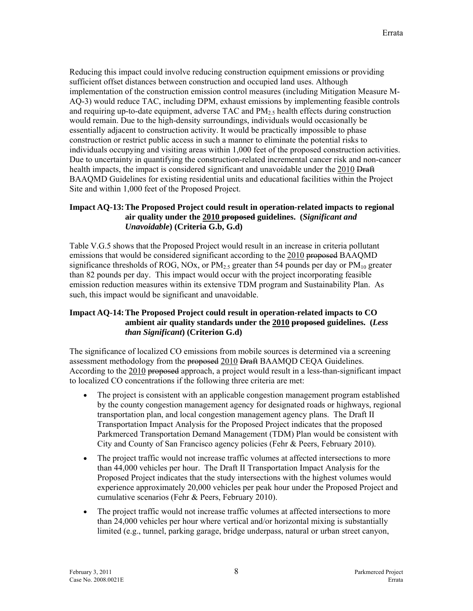Reducing this impact could involve reducing construction equipment emissions or providing sufficient offset distances between construction and occupied land uses. Although implementation of the construction emission control measures (including Mitigation Measure M-AQ-3) would reduce TAC, including DPM, exhaust emissions by implementing feasible controls and requiring up-to-date equipment, adverse TAC and  $PM_{2.5}$  health effects during construction would remain. Due to the high-density surroundings, individuals would occasionally be essentially adjacent to construction activity. It would be practically impossible to phase construction or restrict public access in such a manner to eliminate the potential risks to individuals occupying and visiting areas within 1,000 feet of the proposed construction activities. Due to uncertainty in quantifying the construction-related incremental cancer risk and non-cancer health impacts, the impact is considered significant and unavoidable under the 2010 Draft BAAQMD Guidelines for existing residential units and educational facilities within the Project Site and within 1,000 feet of the Proposed Project.

## **Impact AQ-13: The Proposed Project could result in operation-related impacts to regional air quality under the 2010 proposed guidelines. (***Significant and Unavoidable***) (Criteria G.b, G.d)**

Table V.G.5 shows that the Proposed Project would result in an increase in criteria pollutant emissions that would be considered significant according to the 2010 proposed BAAOMD significance thresholds of ROG, NOx, or  $PM_{2.5}$  greater than 54 pounds per day or  $PM_{10}$  greater than 82 pounds per day. This impact would occur with the project incorporating feasible emission reduction measures within its extensive TDM program and Sustainability Plan. As such, this impact would be significant and unavoidable.

## **Impact AQ-14: The Proposed Project could result in operation-related impacts to CO ambient air quality standards under the 2010 proposed guidelines. (***Less than Significant***) (Criterion G.d)**

The significance of localized CO emissions from mobile sources is determined via a screening assessment methodology from the proposed 2010 Draft BAAMQD CEQA Guidelines. According to the 2010 proposed approach, a project would result in a less-than-significant impact to localized CO concentrations if the following three criteria are met:

- The project is consistent with an applicable congestion management program established by the county congestion management agency for designated roads or highways, regional transportation plan, and local congestion management agency plans. The Draft II Transportation Impact Analysis for the Proposed Project indicates that the proposed Parkmerced Transportation Demand Management (TDM) Plan would be consistent with City and County of San Francisco agency policies (Fehr & Peers, February 2010).
- The project traffic would not increase traffic volumes at affected intersections to more than 44,000 vehicles per hour. The Draft II Transportation Impact Analysis for the Proposed Project indicates that the study intersections with the highest volumes would experience approximately 20,000 vehicles per peak hour under the Proposed Project and cumulative scenarios (Fehr & Peers, February 2010).
- The project traffic would not increase traffic volumes at affected intersections to more than 24,000 vehicles per hour where vertical and/or horizontal mixing is substantially limited (e.g., tunnel, parking garage, bridge underpass, natural or urban street canyon,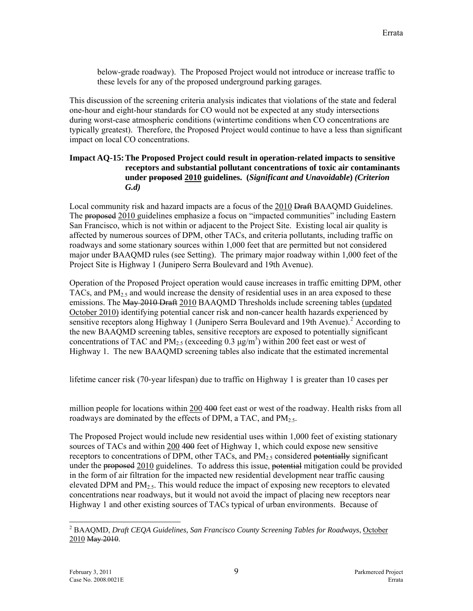below-grade roadway). The Proposed Project would not introduce or increase traffic to these levels for any of the proposed underground parking garages.

This discussion of the screening criteria analysis indicates that violations of the state and federal one-hour and eight-hour standards for CO would not be expected at any study intersections during worst-case atmospheric conditions (wintertime conditions when CO concentrations are typically greatest). Therefore, the Proposed Project would continue to have a less than significant impact on local CO concentrations.

#### **Impact AQ-15: The Proposed Project could result in operation-related impacts to sensitive receptors and substantial pollutant concentrations of toxic air contaminants under proposed 2010 guidelines. (***Significant and Unavoidable***)** *(Criterion G.d)*

Local community risk and hazard impacts are a focus of the 2010 Draft BAAQMD Guidelines. The **proposed** 2010 guidelines emphasize a focus on "impacted communities" including Eastern San Francisco, which is not within or adjacent to the Project Site. Existing local air quality is affected by numerous sources of DPM, other TACs, and criteria pollutants, including traffic on roadways and some stationary sources within 1,000 feet that are permitted but not considered major under BAAQMD rules (see Setting). The primary major roadway within 1,000 feet of the Project Site is Highway 1 (Junipero Serra Boulevard and 19th Avenue).

Operation of the Proposed Project operation would cause increases in traffic emitting DPM, other TACs, and  $PM<sub>2.5</sub>$  and would increase the density of residential uses in an area exposed to these emissions. The May 2010 Draft 2010 BAAQMD Thresholds include screening tables (updated October 2010) identifying potential cancer risk and non-cancer health hazards experienced by sensitive receptors along Highway 1 (Junipero Serra Boulevard and 19th Avenue).<sup>[2](#page-8-0)</sup> According to the new BAAQMD screening tables, sensitive receptors are exposed to potentially significant concentrations of TAC and PM<sub>2.5</sub> (exceeding 0.3  $\mu$ g/m<sup>3</sup>) within 200 feet east or west of Highway 1. The new BAAQMD screening tables also indicate that the estimated incremental

lifetime cancer risk (70‐year lifespan) due to traffic on Highway 1 is greater than 10 cases per

million people for locations within 200 400 feet east or west of the roadway. Health risks from all roadways are dominated by the effects of DPM, a TAC, and  $PM_{2.5}$ .

The Proposed Project would include new residential uses within 1,000 feet of existing stationary sources of TACs and within  $200$  400 feet of Highway 1, which could expose new sensitive receptors to concentrations of DPM, other TACs, and  $PM<sub>2.5</sub>$  considered potentially significant under the proposed 2010 guidelines. To address this issue, potential mitigation could be provided in the form of air filtration for the impacted new residential development near traffic causing elevated DPM and  $PM<sub>2.5</sub>$ . This would reduce the impact of exposing new receptors to elevated concentrations near roadways, but it would not avoid the impact of placing new receptors near Highway 1 and other existing sources of TACs typical of urban environments. Because of

 $\overline{a}$ 

<span id="page-8-0"></span><sup>&</sup>lt;sup>2</sup> BAAQMD, *Draft CEQA Guidelines, San Francisco County Screening Tables for Roadways*, *October* 2010 May 2010.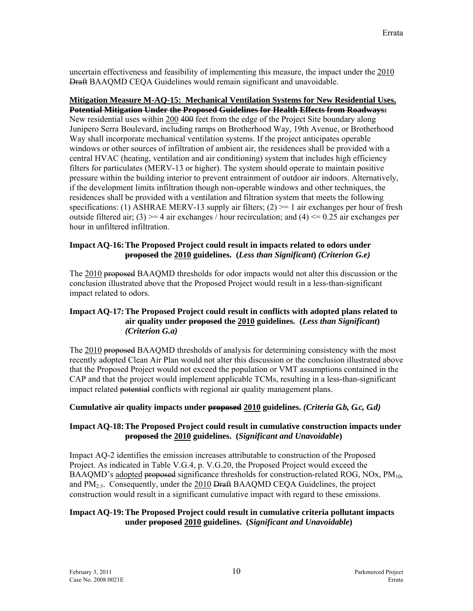uncertain effectiveness and feasibility of implementing this measure, the impact under the 2010 Draft BAAQMD CEQA Guidelines would remain significant and unavoidable.

#### **Mitigation Measure M-AQ-15: Mechanical Ventilation Systems for New Residential Uses. Potential Mitigation Under the Proposed Guidelines for Health Effects from Roadways:** New residential uses within 200 400 feet from the edge of the Project Site boundary along Junipero Serra Boulevard, including ramps on Brotherhood Way, 19th Avenue, or Brotherhood Way shall incorporate mechanical ventilation systems. If the project anticipates operable windows or other sources of infiltration of ambient air, the residences shall be provided with a central HVAC (heating, ventilation and air conditioning) system that includes high efficiency filters for particulates (MERV-13 or higher). The system should operate to maintain positive pressure within the building interior to prevent entrainment of outdoor air indoors. Alternatively, if the development limits infiltration though non-operable windows and other techniques, the residences shall be provided with a ventilation and filtration system that meets the following specifications: (1) ASHRAE MERV-13 supply air filters; (2)  $\ge$  1 air exchanges per hour of fresh outside filtered air; (3)  $>= 4$  air exchanges / hour recirculation; and (4)  $<= 0.25$  air exchanges per hour in unfiltered infiltration.

#### **Impact AQ-16: The Proposed Project could result in impacts related to odors under proposed the 2010 guidelines. (***Less than Significant***)** *(Criterion G.e)*

The 2010 proposed BAAQMD thresholds for odor impacts would not alter this discussion or the conclusion illustrated above that the Proposed Project would result in a less-than-significant impact related to odors.

## **Impact AQ-17: The Proposed Project could result in conflicts with adopted plans related to air quality under proposed the 2010 guidelines. (***Less than Significant***)**  *(Criterion G.a)*

The 2010 proposed BAAQMD thresholds of analysis for determining consistency with the most recently adopted Clean Air Plan would not alter this discussion or the conclusion illustrated above that the Proposed Project would not exceed the population or VMT assumptions contained in the CAP and that the project would implement applicable TCMs, resulting in a less-than-significant impact related potential conflicts with regional air quality management plans.

## **Cumulative air quality impacts under proposed 2010 guidelines.** *(Criteria G.b, G.c, G.d)*

## **Impact AQ-18: The Proposed Project could result in cumulative construction impacts under proposed the 2010 guidelines. (***Significant and Unavoidable***)**

Impact AQ-2 identifies the emission increases attributable to construction of the Proposed Project. As indicated in Table V.G.4, p. V.G.20, the Proposed Project would exceed the BAAQMD's adopted proposed significance thresholds for construction-related ROG, NOx,  $PM_{10}$ , and  $PM_{2.5}$ . Consequently, under the 2010 Draft BAAQMD CEQA Guidelines, the project construction would result in a significant cumulative impact with regard to these emissions.

## **Impact AQ-19: The Proposed Project could result in cumulative criteria pollutant impacts under proposed 2010 guidelines. (***Significant and Unavoidable***)**